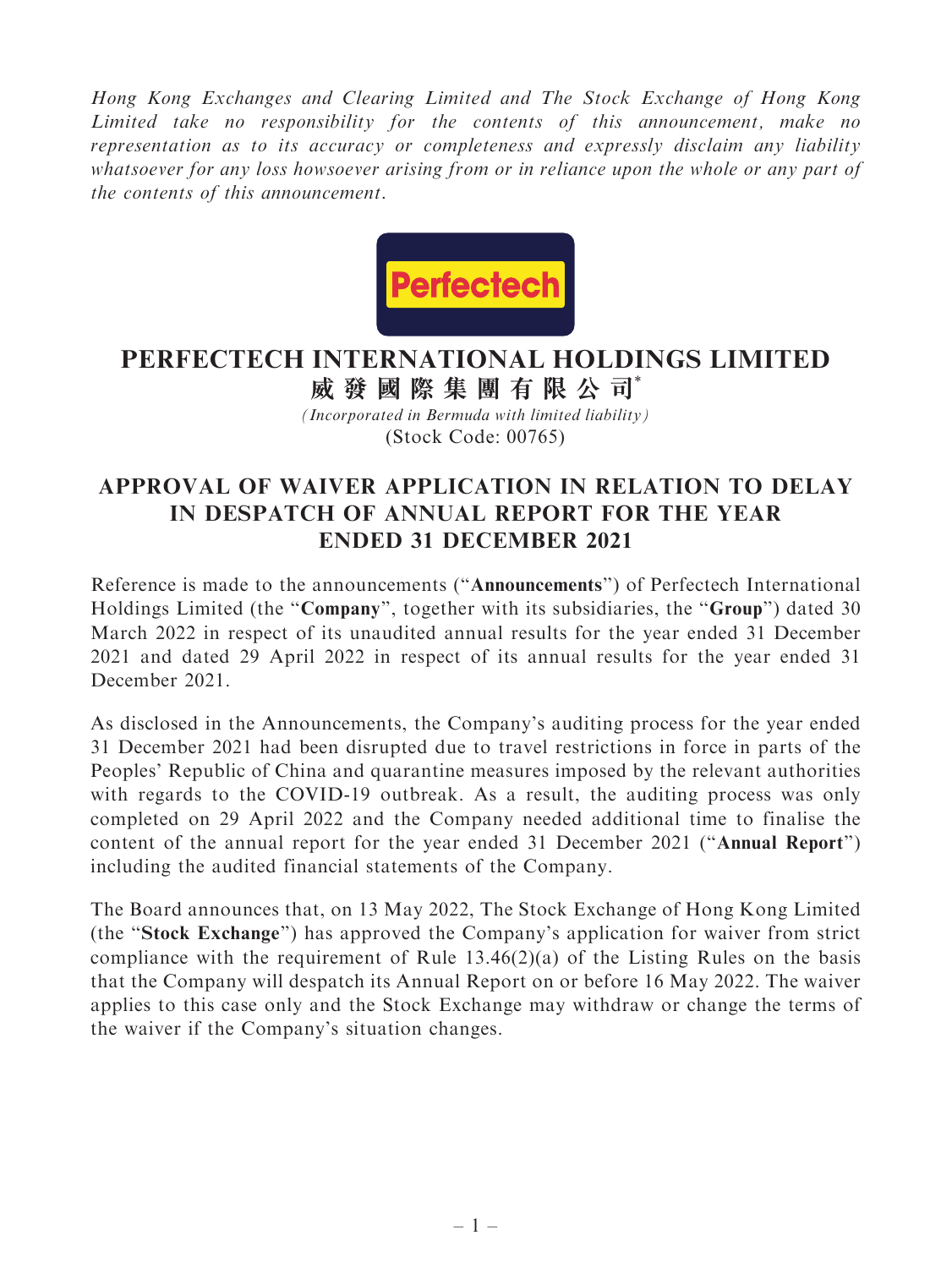Hong Kong Exchanges and Clearing Limited and The Stock Exchange of Hong Kong Limited take no responsibility for the contents of this announcement, make no representation as to its accuracy or completeness and expressly disclaim any liability whatsoever for any loss howsoever arising from or in reliance upon the whole or any part of the contents of this announcement.



## **PERFECTECH INTERNATIONAL HOLDINGS LIMITED 威發國際集團有限公司**\*

*(Incorporated in Bermuda with limited liability)* (Stock Code: 00765)

## APPROVAL OF WAIVER APPLICATION IN RELATION TO DELAY IN DESPATCH OF ANNUAL REPORT FOR THE YEAR ENDED 31 DECEMBER 2021

Reference is made to the announcements (''Announcements'') of Perfectech International Holdings Limited (the "Company", together with its subsidiaries, the "Group") dated 30 March 2022 in respect of its unaudited annual results for the year ended 31 December 2021 and dated 29 April 2022 in respect of its annual results for the year ended 31 December 2021.

As disclosed in the Announcements, the Company's auditing process for the year ended 31 December 2021 had been disrupted due to travel restrictions in force in parts of the Peoples' Republic of China and quarantine measures imposed by the relevant authorities with regards to the COVID-19 outbreak. As a result, the auditing process was only completed on 29 April 2022 and the Company needed additional time to finalise the content of the annual report for the year ended 31 December 2021 (''Annual Report'') including the audited financial statements of the Company.

The Board announces that, on 13 May 2022, The Stock Exchange of Hong Kong Limited (the ''Stock Exchange'') has approved the Company's application for waiver from strict compliance with the requirement of Rule  $13.46(2)(a)$  of the Listing Rules on the basis that the Company will despatch its Annual Report on or before 16 May 2022. The waiver applies to this case only and the Stock Exchange may withdraw or change the terms of the waiver if the Company's situation changes.